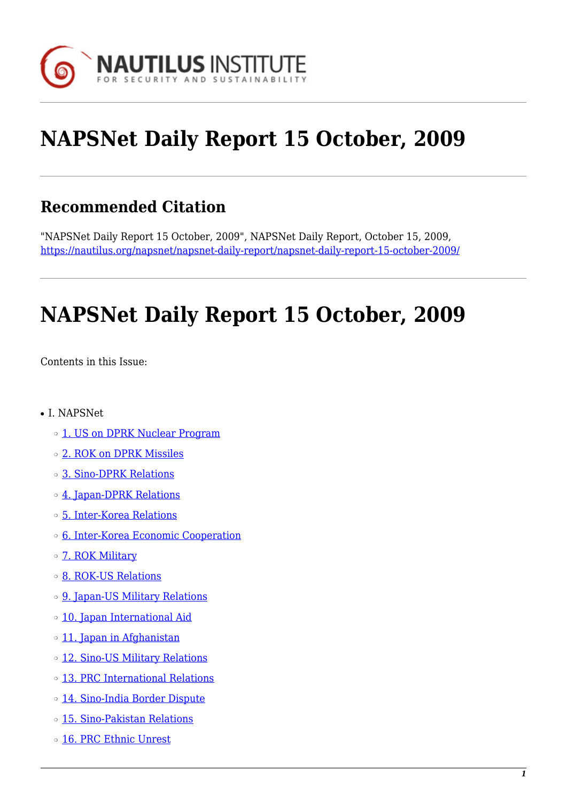

# **NAPSNet Daily Report 15 October, 2009**

### **Recommended Citation**

"NAPSNet Daily Report 15 October, 2009", NAPSNet Daily Report, October 15, 2009, <https://nautilus.org/napsnet/napsnet-daily-report/napsnet-daily-report-15-october-2009/>

# **NAPSNet Daily Report 15 October, 2009**

<span id="page-0-0"></span>Contents in this Issue:

- I. NAPSNet
	- o [1. US on DPRK Nuclear Program](#page-1-0)
	- ❍ [2. ROK on DPRK Missiles](#page-1-1)
	- ❍ [3. Sino-DPRK Relations](#page-2-0)
	- o [4. Japan-DPRK Relations](#page-2-1)
	- ❍ [5. Inter-Korea Relations](#page-2-2)
	- ❍ [6. Inter-Korea Economic Cooperation](#page-3-0)
	- o [7. ROK Military](#page-3-1)
	- ❍ [8. ROK-US Relations](#page-3-2)
	- ❍ [9. Japan-US Military Relations](#page-3-3)
	- ❍ [10. Japan International Aid](#page-4-0)
	- o [11. Japan in Afghanistan](#page-4-1)
	- o [12. Sino-US Military Relations](#page-4-2)
	- ❍ [13. PRC International Relations](#page-5-0)
	- ❍ [14. Sino-India Border Dispute](#page-5-1)
	- ❍ [15. Sino-Pakistan Relations](#page-5-2)
	- o [16. PRC Ethnic Unrest](#page-6-0)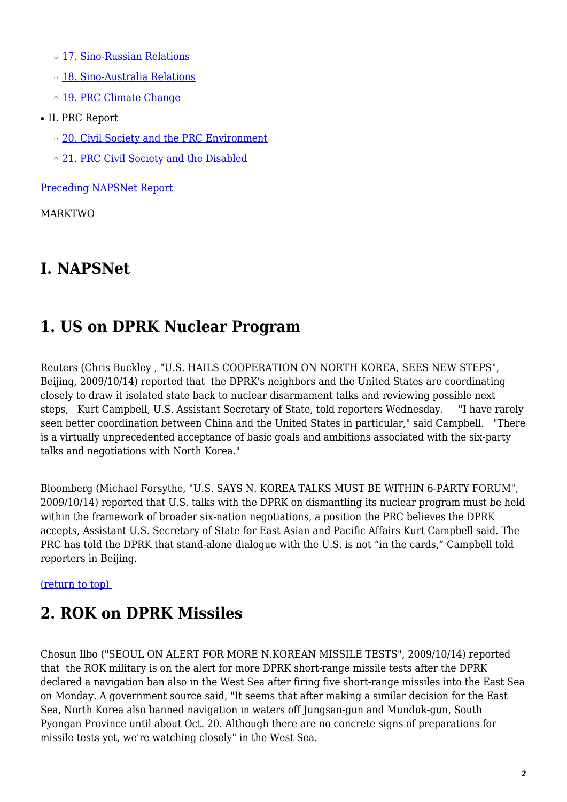- ❍ [17. Sino-Russian Relations](#page-6-1)
- ❍ [18. Sino-Australia Relations](#page-6-2)
- o [19. PRC Climate Change](#page-7-0)
- II. PRC Report
	- o [20. Civil Society and the PRC Environment](#page-7-1)
	- o [21. PRC Civil Society and the Disabled](#page-7-2)

[Preceding NAPSNet Report](https://nautilus.org/mailing-lists/napsnet/dr/2009-2/napsnet-daily-report-14-october-2009/)

MARKTWO

### **I. NAPSNet**

### <span id="page-1-0"></span>**1. US on DPRK Nuclear Program**

Reuters (Chris Buckley , "U.S. HAILS COOPERATION ON NORTH KOREA, SEES NEW STEPS", Beijing, 2009/10/14) reported that the DPRK's neighbors and the United States are coordinating closely to draw it isolated state back to nuclear disarmament talks and reviewing possible next steps, Kurt Campbell, U.S. Assistant Secretary of State, told reporters Wednesday. "I have rarely seen better coordination between China and the United States in particular," said Campbell. "There is a virtually unprecedented acceptance of basic goals and ambitions associated with the six-party talks and negotiations with North Korea."

Bloomberg (Michael Forsythe, "U.S. SAYS N. KOREA TALKS MUST BE WITHIN 6-PARTY FORUM", 2009/10/14) reported that U.S. talks with the DPRK on dismantling its nuclear program must be held within the framework of broader six-nation negotiations, a position the PRC believes the DPRK accepts, Assistant U.S. Secretary of State for East Asian and Pacific Affairs Kurt Campbell said. The PRC has told the DPRK that stand-alone dialogue with the U.S. is not "in the cards," Campbell told reporters in Beijing.

#### <span id="page-1-1"></span>[\(return to top\)](#page-0-0)

# **2. ROK on DPRK Missiles**

Chosun Ilbo ("SEOUL ON ALERT FOR MORE N.KOREAN MISSILE TESTS", 2009/10/14) reported that the ROK military is on the alert for more DPRK short-range missile tests after the DPRK declared a navigation ban also in the West Sea after firing five short-range missiles into the East Sea on Monday. A government source said, "It seems that after making a similar decision for the East Sea, North Korea also banned navigation in waters off Jungsan-gun and Munduk-gun, South Pyongan Province until about Oct. 20. Although there are no concrete signs of preparations for missile tests yet, we're watching closely" in the West Sea.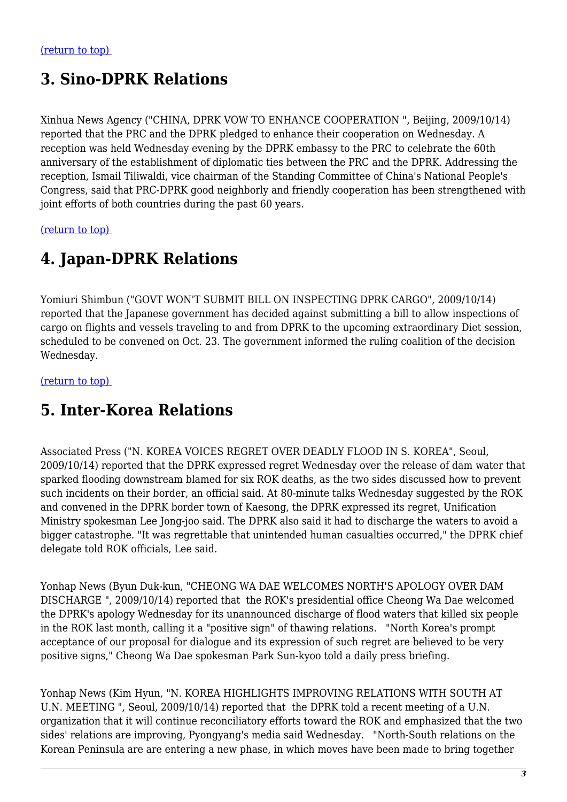#### <span id="page-2-0"></span>**3. Sino-DPRK Relations**

Xinhua News Agency ("CHINA, DPRK VOW TO ENHANCE COOPERATION ", Beijing, 2009/10/14) reported that the PRC and the DPRK pledged to enhance their cooperation on Wednesday. A reception was held Wednesday evening by the DPRK embassy to the PRC to celebrate the 60th anniversary of the establishment of diplomatic ties between the PRC and the DPRK. Addressing the reception, Ismail Tiliwaldi, vice chairman of the Standing Committee of China's National People's Congress, said that PRC-DPRK good neighborly and friendly cooperation has been strengthened with joint efforts of both countries during the past 60 years.

<span id="page-2-1"></span>[\(return to top\)](#page-0-0) 

#### **4. Japan-DPRK Relations**

Yomiuri Shimbun ("GOVT WON'T SUBMIT BILL ON INSPECTING DPRK CARGO", 2009/10/14) reported that the Japanese government has decided against submitting a bill to allow inspections of cargo on flights and vessels traveling to and from DPRK to the upcoming extraordinary Diet session, scheduled to be convened on Oct. 23. The government informed the ruling coalition of the decision Wednesday.

<span id="page-2-2"></span>[\(return to top\)](#page-0-0) 

#### **5. Inter-Korea Relations**

Associated Press ("N. KOREA VOICES REGRET OVER DEADLY FLOOD IN S. KOREA", Seoul, 2009/10/14) reported that the DPRK expressed regret Wednesday over the release of dam water that sparked flooding downstream blamed for six ROK deaths, as the two sides discussed how to prevent such incidents on their border, an official said. At 80-minute talks Wednesday suggested by the ROK and convened in the DPRK border town of Kaesong, the DPRK expressed its regret, Unification Ministry spokesman Lee Jong-joo said. The DPRK also said it had to discharge the waters to avoid a bigger catastrophe. "It was regrettable that unintended human casualties occurred," the DPRK chief delegate told ROK officials, Lee said.

Yonhap News (Byun Duk-kun, "CHEONG WA DAE WELCOMES NORTH'S APOLOGY OVER DAM DISCHARGE ", 2009/10/14) reported that the ROK's presidential office Cheong Wa Dae welcomed the DPRK's apology Wednesday for its unannounced discharge of flood waters that killed six people in the ROK last month, calling it a "positive sign" of thawing relations. "North Korea's prompt acceptance of our proposal for dialogue and its expression of such regret are believed to be very positive signs," Cheong Wa Dae spokesman Park Sun-kyoo told a daily press briefing.

Yonhap News (Kim Hyun, "N. KOREA HIGHLIGHTS IMPROVING RELATIONS WITH SOUTH AT U.N. MEETING ", Seoul, 2009/10/14) reported that the DPRK told a recent meeting of a U.N. organization that it will continue reconciliatory efforts toward the ROK and emphasized that the two sides' relations are improving, Pyongyang's media said Wednesday. "North-South relations on the Korean Peninsula are are entering a new phase, in which moves have been made to bring together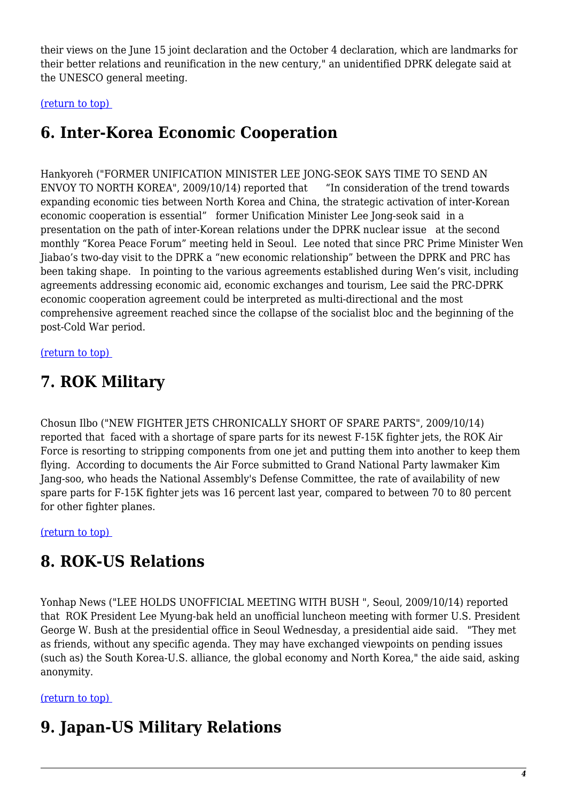their views on the June 15 joint declaration and the October 4 declaration, which are landmarks for their better relations and reunification in the new century," an unidentified DPRK delegate said at the UNESCO general meeting.

#### <span id="page-3-0"></span>[\(return to top\)](#page-0-0)

### **6. Inter-Korea Economic Cooperation**

Hankyoreh ("FORMER UNIFICATION MINISTER LEE JONG-SEOK SAYS TIME TO SEND AN ENVOY TO NORTH KOREA", 2009/10/14) reported that "In consideration of the trend towards expanding economic ties between North Korea and China, the strategic activation of inter-Korean economic cooperation is essential" former Unification Minister Lee Jong-seok said in a presentation on the path of inter-Korean relations under the DPRK nuclear issue at the second monthly "Korea Peace Forum" meeting held in Seoul. Lee noted that since PRC Prime Minister Wen Jiabao's two-day visit to the DPRK a "new economic relationship" between the DPRK and PRC has been taking shape. In pointing to the various agreements established during Wen's visit, including agreements addressing economic aid, economic exchanges and tourism, Lee said the PRC-DPRK economic cooperation agreement could be interpreted as multi-directional and the most comprehensive agreement reached since the collapse of the socialist bloc and the beginning of the post-Cold War period.

#### <span id="page-3-1"></span>[\(return to top\)](#page-0-0)

#### **7. ROK Military**

Chosun Ilbo ("NEW FIGHTER JETS CHRONICALLY SHORT OF SPARE PARTS", 2009/10/14) reported that faced with a shortage of spare parts for its newest F-15K fighter jets, the ROK Air Force is resorting to stripping components from one jet and putting them into another to keep them flying. According to documents the Air Force submitted to Grand National Party lawmaker Kim Jang-soo, who heads the National Assembly's Defense Committee, the rate of availability of new spare parts for F-15K fighter jets was 16 percent last year, compared to between 70 to 80 percent for other fighter planes.

<span id="page-3-2"></span>[\(return to top\)](#page-0-0) 

#### **8. ROK-US Relations**

Yonhap News ("LEE HOLDS UNOFFICIAL MEETING WITH BUSH ", Seoul, 2009/10/14) reported that ROK President Lee Myung-bak held an unofficial luncheon meeting with former U.S. President George W. Bush at the presidential office in Seoul Wednesday, a presidential aide said. "They met as friends, without any specific agenda. They may have exchanged viewpoints on pending issues (such as) the South Korea-U.S. alliance, the global economy and North Korea," the aide said, asking anonymity.

#### <span id="page-3-3"></span>[\(return to top\)](#page-0-0)

### **9. Japan-US Military Relations**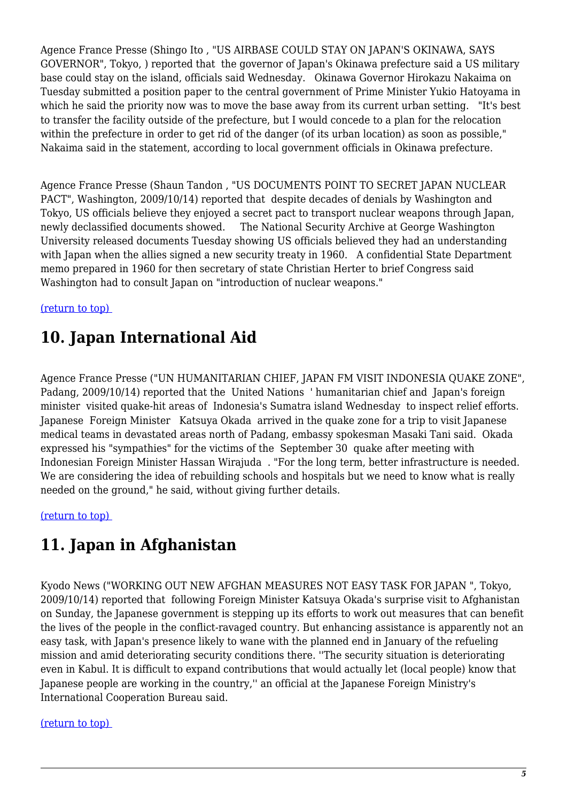Agence France Presse (Shingo Ito , "US AIRBASE COULD STAY ON JAPAN'S OKINAWA, SAYS GOVERNOR", Tokyo, ) reported that the governor of Japan's Okinawa prefecture said a US military base could stay on the island, officials said Wednesday. Okinawa Governor Hirokazu Nakaima on Tuesday submitted a position paper to the central government of Prime Minister Yukio Hatoyama in which he said the priority now was to move the base away from its current urban setting. "It's best to transfer the facility outside of the prefecture, but I would concede to a plan for the relocation within the prefecture in order to get rid of the danger (of its urban location) as soon as possible," Nakaima said in the statement, according to local government officials in Okinawa prefecture.

Agence France Presse (Shaun Tandon , "US DOCUMENTS POINT TO SECRET JAPAN NUCLEAR PACT", Washington, 2009/10/14) reported that despite decades of denials by Washington and Tokyo, US officials believe they enjoyed a secret pact to transport nuclear weapons through Japan, newly declassified documents showed. The National Security Archive at George Washington University released documents Tuesday showing US officials believed they had an understanding with Japan when the allies signed a new security treaty in 1960. A confidential State Department memo prepared in 1960 for then secretary of state Christian Herter to brief Congress said Washington had to consult Japan on "introduction of nuclear weapons."

<span id="page-4-0"></span>[\(return to top\)](#page-0-0) 

### **10. Japan International Aid**

Agence France Presse ("UN HUMANITARIAN CHIEF, JAPAN FM VISIT INDONESIA QUAKE ZONE", Padang, 2009/10/14) reported that the United Nations ' humanitarian chief and Japan's foreign minister visited quake-hit areas of Indonesia's Sumatra island Wednesday to inspect relief efforts. Japanese Foreign Minister Katsuya Okada arrived in the quake zone for a trip to visit Japanese medical teams in devastated areas north of Padang, embassy spokesman Masaki Tani said. Okada expressed his "sympathies" for the victims of the September 30 quake after meeting with Indonesian Foreign Minister Hassan Wirajuda . "For the long term, better infrastructure is needed. We are considering the idea of rebuilding schools and hospitals but we need to know what is really needed on the ground," he said, without giving further details.

<span id="page-4-1"></span>[\(return to top\)](#page-0-0) 

### **11. Japan in Afghanistan**

Kyodo News ("WORKING OUT NEW AFGHAN MEASURES NOT EASY TASK FOR JAPAN ", Tokyo, 2009/10/14) reported that following Foreign Minister Katsuya Okada's surprise visit to Afghanistan on Sunday, the Japanese government is stepping up its efforts to work out measures that can benefit the lives of the people in the conflict-ravaged country. But enhancing assistance is apparently not an easy task, with Japan's presence likely to wane with the planned end in January of the refueling mission and amid deteriorating security conditions there. ''The security situation is deteriorating even in Kabul. It is difficult to expand contributions that would actually let (local people) know that Japanese people are working in the country,'' an official at the Japanese Foreign Ministry's International Cooperation Bureau said.

#### <span id="page-4-2"></span>[\(return to top\)](#page-0-0)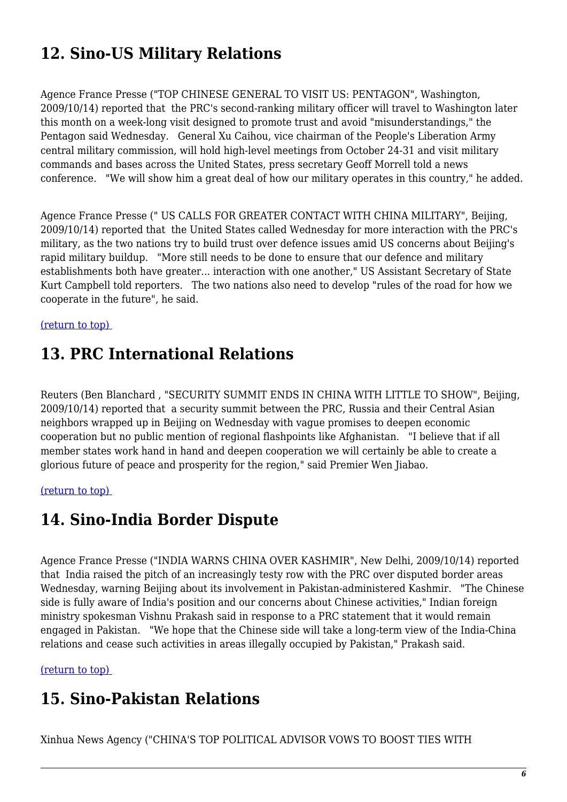# **12. Sino-US Military Relations**

Agence France Presse ("TOP CHINESE GENERAL TO VISIT US: PENTAGON", Washington, 2009/10/14) reported that the PRC's second-ranking military officer will travel to Washington later this month on a week-long visit designed to promote trust and avoid "misunderstandings," the Pentagon said Wednesday. General Xu Caihou, vice chairman of the People's Liberation Army central military commission, will hold high-level meetings from October 24-31 and visit military commands and bases across the United States, press secretary Geoff Morrell told a news conference. "We will show him a great deal of how our military operates in this country," he added.

Agence France Presse (" US CALLS FOR GREATER CONTACT WITH CHINA MILITARY", Beijing, 2009/10/14) reported that the United States called Wednesday for more interaction with the PRC's military, as the two nations try to build trust over defence issues amid US concerns about Beijing's rapid military buildup. "More still needs to be done to ensure that our defence and military establishments both have greater... interaction with one another," US Assistant Secretary of State Kurt Campbell told reporters. The two nations also need to develop "rules of the road for how we cooperate in the future", he said.

<span id="page-5-0"></span>[\(return to top\)](#page-0-0) 

#### **13. PRC International Relations**

Reuters (Ben Blanchard , "SECURITY SUMMIT ENDS IN CHINA WITH LITTLE TO SHOW", Beijing, 2009/10/14) reported that a security summit between the PRC, Russia and their Central Asian neighbors wrapped up in Beijing on Wednesday with vague promises to deepen economic cooperation but no public mention of regional flashpoints like Afghanistan. "I believe that if all member states work hand in hand and deepen cooperation we will certainly be able to create a glorious future of peace and prosperity for the region," said Premier Wen Jiabao.

#### <span id="page-5-1"></span>[\(return to top\)](#page-0-0)

#### **14. Sino-India Border Dispute**

Agence France Presse ("INDIA WARNS CHINA OVER KASHMIR", New Delhi, 2009/10/14) reported that India raised the pitch of an increasingly testy row with the PRC over disputed border areas Wednesday, warning Beijing about its involvement in Pakistan-administered Kashmir. "The Chinese side is fully aware of India's position and our concerns about Chinese activities," Indian foreign ministry spokesman Vishnu Prakash said in response to a PRC statement that it would remain engaged in Pakistan. "We hope that the Chinese side will take a long-term view of the India-China relations and cease such activities in areas illegally occupied by Pakistan," Prakash said.

<span id="page-5-2"></span>[\(return to top\)](#page-0-0) 

### **15. Sino-Pakistan Relations**

Xinhua News Agency ("CHINA'S TOP POLITICAL ADVISOR VOWS TO BOOST TIES WITH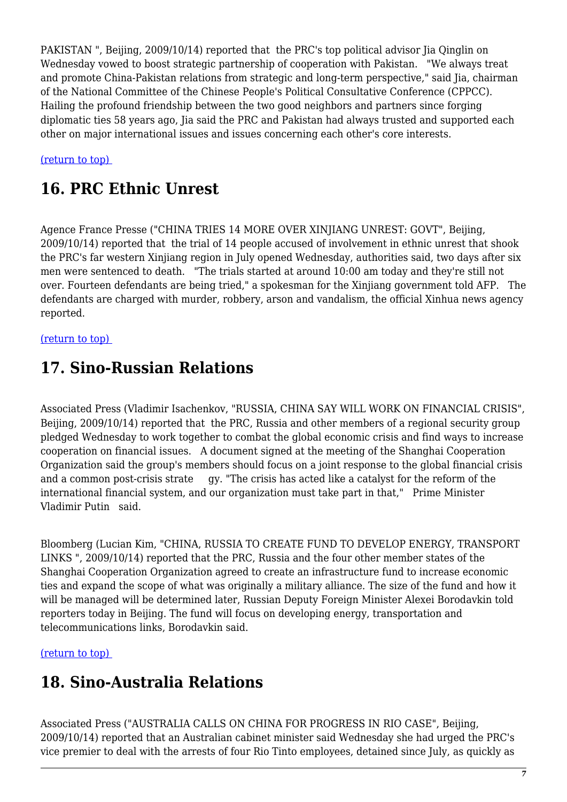PAKISTAN ", Beijing, 2009/10/14) reported that the PRC's top political advisor Ija Qinglin on Wednesday vowed to boost strategic partnership of cooperation with Pakistan. "We always treat and promote China-Pakistan relations from strategic and long-term perspective," said Jia, chairman of the National Committee of the Chinese People's Political Consultative Conference (CPPCC). Hailing the profound friendship between the two good neighbors and partners since forging diplomatic ties 58 years ago, Jia said the PRC and Pakistan had always trusted and supported each other on major international issues and issues concerning each other's core interests.

<span id="page-6-0"></span>[\(return to top\)](#page-0-0) 

## **16. PRC Ethnic Unrest**

Agence France Presse ("CHINA TRIES 14 MORE OVER XINJIANG UNREST: GOVT", Beijing, 2009/10/14) reported that the trial of 14 people accused of involvement in ethnic unrest that shook the PRC's far western Xinjiang region in July opened Wednesday, authorities said, two days after six men were sentenced to death. "The trials started at around 10:00 am today and they're still not over. Fourteen defendants are being tried," a spokesman for the Xinjiang government told AFP. The defendants are charged with murder, robbery, arson and vandalism, the official Xinhua news agency reported.

#### <span id="page-6-1"></span>[\(return to top\)](#page-0-0)

### **17. Sino-Russian Relations**

Associated Press (Vladimir Isachenkov, "RUSSIA, CHINA SAY WILL WORK ON FINANCIAL CRISIS", Beijing, 2009/10/14) reported that the PRC. Russia and other members of a regional security group pledged Wednesday to work together to combat the global economic crisis and find ways to increase cooperation on financial issues. A document signed at the meeting of the Shanghai Cooperation Organization said the group's members should focus on a joint response to the global financial crisis and a common post-crisis strate gy. "The crisis has acted like a catalyst for the reform of the international financial system, and our organization must take part in that," Prime Minister Vladimir Putin said.

Bloomberg (Lucian Kim, "CHINA, RUSSIA TO CREATE FUND TO DEVELOP ENERGY, TRANSPORT LINKS ", 2009/10/14) reported that the PRC, Russia and the four other member states of the Shanghai Cooperation Organization agreed to create an infrastructure fund to increase economic ties and expand the scope of what was originally a military alliance. The size of the fund and how it will be managed will be determined later, Russian Deputy Foreign Minister Alexei Borodavkin told reporters today in Beijing. The fund will focus on developing energy, transportation and telecommunications links, Borodavkin said.

<span id="page-6-2"></span>[\(return to top\)](#page-0-0) 

# **18. Sino-Australia Relations**

Associated Press ("AUSTRALIA CALLS ON CHINA FOR PROGRESS IN RIO CASE", Beijing, 2009/10/14) reported that an Australian cabinet minister said Wednesday she had urged the PRC's vice premier to deal with the arrests of four Rio Tinto employees, detained since July, as quickly as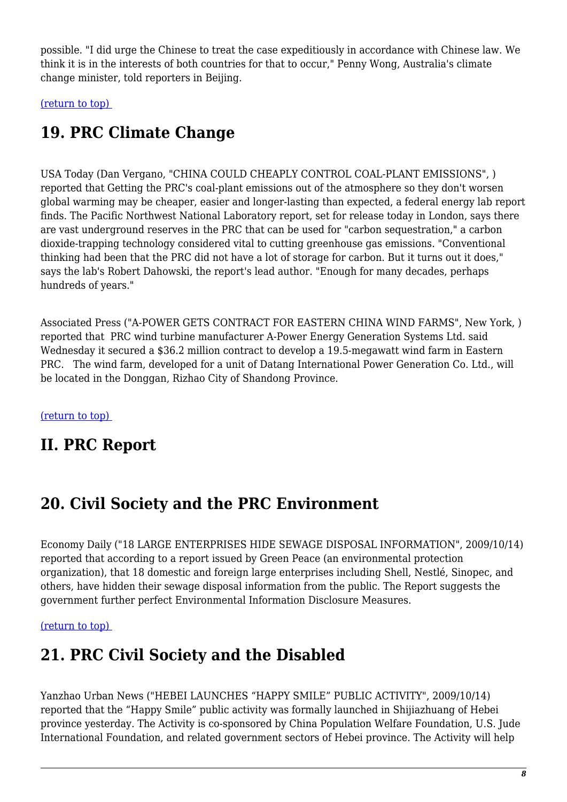possible. "I did urge the Chinese to treat the case expeditiously in accordance with Chinese law. We think it is in the interests of both countries for that to occur," Penny Wong, Australia's climate change minister, told reporters in Beijing.

<span id="page-7-0"></span>[\(return to top\)](#page-0-0) 

## **19. PRC Climate Change**

USA Today (Dan Vergano, "CHINA COULD CHEAPLY CONTROL COAL-PLANT EMISSIONS", ) reported that Getting the PRC's coal-plant emissions out of the atmosphere so they don't worsen global warming may be cheaper, easier and longer-lasting than expected, a federal energy lab report finds. The Pacific Northwest National Laboratory report, set for release today in London, says there are vast underground reserves in the PRC that can be used for "carbon sequestration," a carbon dioxide-trapping technology considered vital to cutting greenhouse gas emissions. "Conventional thinking had been that the PRC did not have a lot of storage for carbon. But it turns out it does," says the lab's Robert Dahowski, the report's lead author. "Enough for many decades, perhaps hundreds of years."

Associated Press ("A-POWER GETS CONTRACT FOR EASTERN CHINA WIND FARMS", New York, ) reported that PRC wind turbine manufacturer A-Power Energy Generation Systems Ltd. said Wednesday it secured a \$36.2 million contract to develop a 19.5-megawatt wind farm in Eastern PRC. The wind farm, developed for a unit of Datang International Power Generation Co. Ltd., will be located in the Donggan, Rizhao City of Shandong Province.

[\(return to top\)](#page-0-0) 

### **II. PRC Report**

### <span id="page-7-1"></span>**20. Civil Society and the PRC Environment**

Economy Daily ("18 LARGE ENTERPRISES HIDE SEWAGE DISPOSAL INFORMATION", 2009/10/14) reported that according to a report issued by Green Peace (an environmental protection organization), that 18 domestic and foreign large enterprises including Shell, Nestlé, Sinopec, and others, have hidden their sewage disposal information from the public. The Report suggests the government further perfect Environmental Information Disclosure Measures.

<span id="page-7-2"></span>[\(return to top\)](#page-0-0) 

### **21. PRC Civil Society and the Disabled**

Yanzhao Urban News ("HEBEI LAUNCHES "HAPPY SMILE" PUBLIC ACTIVITY", 2009/10/14) reported that the "Happy Smile" public activity was formally launched in Shijiazhuang of Hebei province yesterday. The Activity is co-sponsored by China Population Welfare Foundation, U.S. Jude International Foundation, and related government sectors of Hebei province. The Activity will help